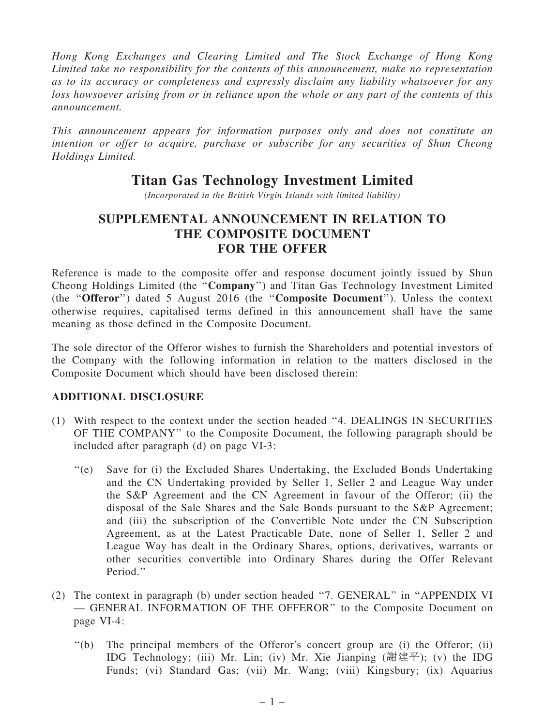Hong Kong Exchanges and Clearing Limited and The Stock Exchange of Hong Kong Limited take no responsibility for the contents of this announcement, make no representation as to its accuracy or completeness and expressly disclaim any liability whatsoever for any loss howsoever arising from or in reliance upon the whole or any part of the contents of this announcement.

This announcement appears for information purposes only and does not constitute an intention or offer to acquire, purchase or subscribe for any securities of Shun Cheong Holdings Limited.

## Titan Gas Technology Investment Limited

(Incorporated in the British Virgin Islands with limited liability)

## SUPPLEMENTAL ANNOUNCEMENT IN RELATION TO THE COMPOSITE DOCUMENT FOR THE OFFER

Reference is made to the composite offer and response document jointly issued by Shun Cheong Holdings Limited (the ''Company'') and Titan Gas Technology Investment Limited (the ''Offeror'') dated 5 August 2016 (the ''Composite Document''). Unless the context otherwise requires, capitalised terms defined in this announcement shall have the same meaning as those defined in the Composite Document.

The sole director of the Offeror wishes to furnish the Shareholders and potential investors of the Company with the following information in relation to the matters disclosed in the Composite Document which should have been disclosed therein:

## ADDITIONAL DISCLOSURE

- (1) With respect to the context under the section headed ''4. DEALINGS IN SECURITIES OF THE COMPANY'' to the Composite Document, the following paragraph should be included after paragraph (d) on page VI-3:
	- ''(e) Save for (i) the Excluded Shares Undertaking, the Excluded Bonds Undertaking and the CN Undertaking provided by Seller 1, Seller 2 and League Way under the S&P Agreement and the CN Agreement in favour of the Offeror; (ii) the disposal of the Sale Shares and the Sale Bonds pursuant to the S&P Agreement; and (iii) the subscription of the Convertible Note under the CN Subscription Agreement, as at the Latest Practicable Date, none of Seller 1, Seller 2 and League Way has dealt in the Ordinary Shares, options, derivatives, warrants or other securities convertible into Ordinary Shares during the Offer Relevant Period.''
- (2) The context in paragraph (b) under section headed ''7. GENERAL'' in ''APPENDIX VI — GENERAL INFORMATION OF THE OFFEROR'' to the Composite Document on page VI-4:
	- ''(b) The principal members of the Offeror's concert group are (i) the Offeror; (ii) IDG Technology; (iii) Mr. Lin; (iv) Mr. Xie Jianping (謝建平); (v) the IDG Funds; (vi) Standard Gas; (vii) Mr. Wang; (viii) Kingsbury; (ix) Aquarius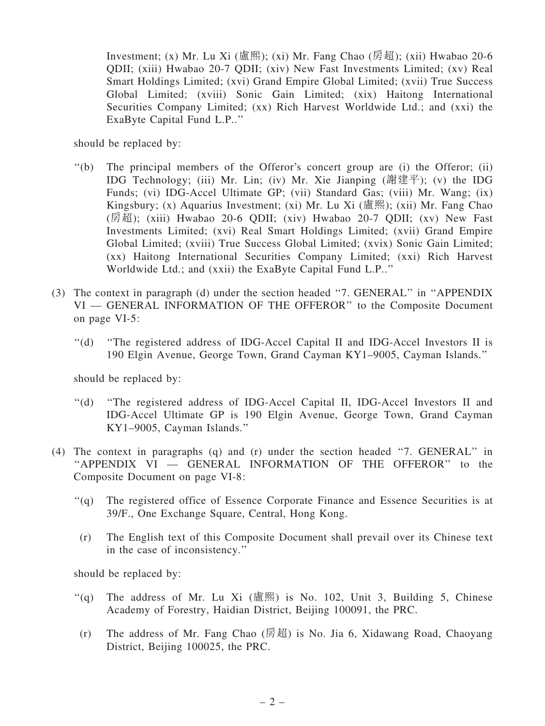Investment; (x) Mr. Lu Xi (盧熙); (xi) Mr. Fang Chao (房超); (xii) Hwabao 20-6 QDII; (xiii) Hwabao 20-7 QDII; (xiv) New Fast Investments Limited; (xv) Real Smart Holdings Limited; (xvi) Grand Empire Global Limited; (xvii) True Success Global Limited; (xviii) Sonic Gain Limited; (xix) Haitong International Securities Company Limited; (xx) Rich Harvest Worldwide Ltd.; and (xxi) the ExaByte Capital Fund L.P..''

should be replaced by:

- ''(b) The principal members of the Offeror's concert group are (i) the Offeror; (ii) IDG Technology; (iii) Mr. Lin; (iv) Mr. Xie Jianping (謝建平); (v) the IDG Funds; (vi) IDG-Accel Ultimate GP; (vii) Standard Gas; (viii) Mr. Wang; (ix) Kingsbury; (x) Aquarius Investment; (xi) Mr. Lu Xi (盧熙); (xii) Mr. Fang Chao (房超); (xiii) Hwabao 20-6 QDII; (xiv) Hwabao 20-7 QDII; (xv) New Fast Investments Limited; (xvi) Real Smart Holdings Limited; (xvii) Grand Empire Global Limited; (xviii) True Success Global Limited; (xvix) Sonic Gain Limited; (xx) Haitong International Securities Company Limited; (xxi) Rich Harvest Worldwide Ltd.; and (xxii) the ExaByte Capital Fund L.P..''
- (3) The context in paragraph (d) under the section headed ''7. GENERAL'' in ''APPENDIX VI — GENERAL INFORMATION OF THE OFFEROR'' to the Composite Document on page VI-5:
	- ''(d) ''The registered address of IDG-Accel Capital II and IDG-Accel Investors II is 190 Elgin Avenue, George Town, Grand Cayman KY1–9005, Cayman Islands.''

should be replaced by:

- ''(d) ''The registered address of IDG-Accel Capital II, IDG-Accel Investors II and IDG-Accel Ultimate GP is 190 Elgin Avenue, George Town, Grand Cayman KY1–9005, Cayman Islands.''
- (4) The context in paragraphs (q) and (r) under the section headed ''7. GENERAL'' in "APPENDIX VI - GENERAL INFORMATION OF THE OFFEROR" to the Composite Document on page VI-8:
	- ''(q) The registered office of Essence Corporate Finance and Essence Securities is at 39/F., One Exchange Square, Central, Hong Kong.
	- (r) The English text of this Composite Document shall prevail over its Chinese text in the case of inconsistency.''

should be replaced by:

- $''(q)$  The address of Mr. Lu Xi (盧熙) is No. 102, Unit 3, Building 5, Chinese Academy of Forestry, Haidian District, Beijing 100091, the PRC.
- (r) The address of Mr. Fang Chao (房超) is No. Jia 6, Xidawang Road, Chaoyang District, Beijing 100025, the PRC.